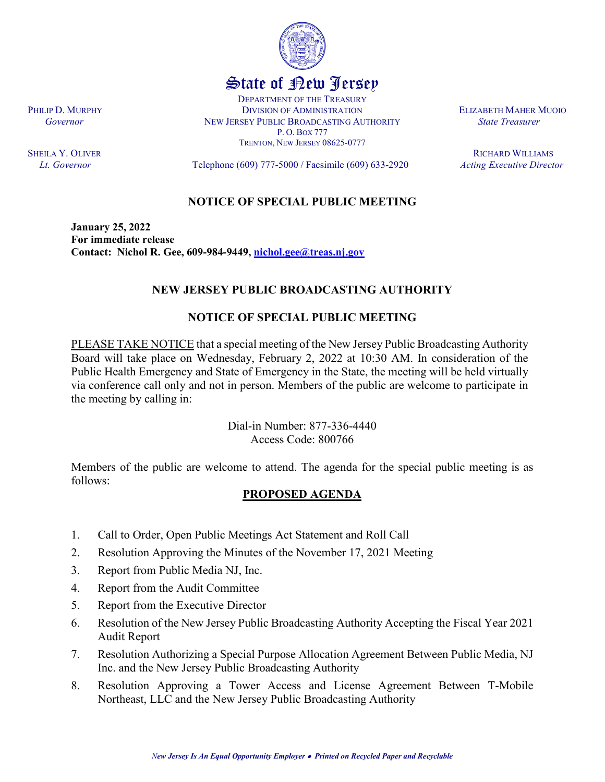

PLEASE TAKE NOTICE that a special meeting of the New Jersey Public Broadcasting Authority Board will take place on Wednesday, February 2, 2022 at 10:30 AM. In consideration of the Public Health Emergency and State of Emergency in the State, the meeting will be held virtually via conference call only and not in person. Members of the public are welcome to participate in the meeting by calling in:

> Dial-in Number: 877-336-4440 Access Code: 800766

Members of the public are welcome to attend. The agenda for the special public meeting is as follows:

## **PROPOSED AGENDA**

1. Call to Order, Open Public Meetings Act Statement and Roll Call

**Contact: Nichol R. Gee, 609-984-9449, [nichol.gee@treas.nj.gov](mailto:nichol.gee@treas.nj.gov)**

- 2. Resolution Approving the Minutes of the November 17, 2021 Meeting
- 3. Report from Public Media NJ, Inc.
- 4. Report from the Audit Committee
- 5. Report from the Executive Director
- 6. Resolution of the New Jersey Public Broadcasting Authority Accepting the Fiscal Year 2021 Audit Report
- 7. Resolution Authorizing a Special Purpose Allocation Agreement Between Public Media, NJ Inc. and the New Jersey Public Broadcasting Authority
- 8. Resolution Approving a Tower Access and License Agreement Between T-Mobile Northeast, LLC and the New Jersey Public Broadcasting Authority

**January 25, 2022 For immediate release**

PHILIP D. MURPHY **DIVISION OF ADMINISTRATION** BLIZABETH MAHER MUOIO  *Governor* NEW JERSEY PUBLIC BROADCASTING AUTHORITY *State Treasurer*

**SHEILA Y. OLIVER** RICHARD WILLIAMS *Lt. Governor* Telephone (609) 777-5000 / Facsimile (609) 633-2920 *Acting Executive Director*



State of New Jersey DEPARTMENT OF THE TREASURY

P. O. BOX 777 TRENTON, NEW JERSEY 08625-0777

**NOTICE OF SPECIAL PUBLIC MEETING**

**NEW JERSEY PUBLIC BROADCASTING AUTHORITY**

**NOTICE OF SPECIAL PUBLIC MEETING**